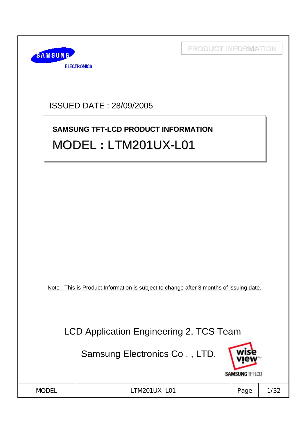

ISSUED DATE : 28/09/2005

# **SAMSUNG TFT-LCD PRODUCT INFORMATION SAMSUNG TFT-LCD PRODUCT INFORMATION** MODEL **:** LTM201UX-L01 MODEL **:** LTM201UX LTM201UX-L01

Note : This is Product Information is subject to change after 3 months of issuing date.

LCD Application Engineering 2, TCS Team

Samsung Electronics Co . , LTD.



| V<br>OI | תו<br>ш |  |
|---------|---------|--|

LTM201UX-L01 | Page 1/32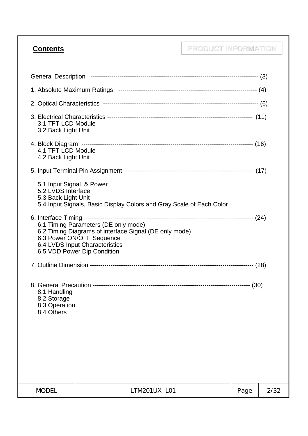## **Contents PRODUCT INFORMATION**

| 3.1 TFT LCD Module<br>3.2 Back Light Unit                             |                                                                                                                                                                                                                                             |      |      |
|-----------------------------------------------------------------------|---------------------------------------------------------------------------------------------------------------------------------------------------------------------------------------------------------------------------------------------|------|------|
| 4.1 TFT LCD Module<br>4.2 Back Light Unit                             |                                                                                                                                                                                                                                             |      |      |
|                                                                       |                                                                                                                                                                                                                                             |      |      |
| 5.1 Input Signal & Power<br>5.2 LVDS Interface<br>5.3 Back Light Unit | 5.4 Input Signals, Basic Display Colors and Gray Scale of Each Color                                                                                                                                                                        |      |      |
|                                                                       | 6. Interface Timing -----------------------<br>6.1 Timing Parameters (DE only mode)<br>6.2 Timing Diagrams of interface Signal (DE only mode)<br>6.3 Power ON/OFF Sequence<br>6.4 LVDS Input Characteristics<br>6.5 VDD Power Dip Condition |      |      |
|                                                                       |                                                                                                                                                                                                                                             |      |      |
| 8.1 Handling<br>8.2 Storage<br>8.3 Operation<br>8.4 Others            |                                                                                                                                                                                                                                             |      |      |
| <b>MODEL</b>                                                          | LTM201UX-L01                                                                                                                                                                                                                                | Page | 2/32 |
|                                                                       |                                                                                                                                                                                                                                             |      |      |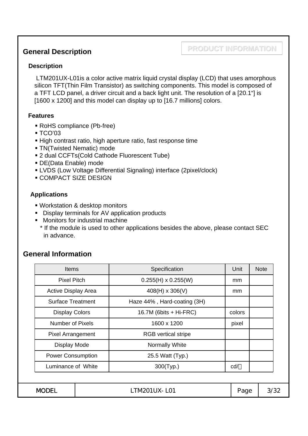#### **General Description**

#### **PRODUCT INFORMATION**

#### **Description**

LTM201UX-L01is a color active matrix liquid crystal display (LCD) that uses amorphous silicon TFT(Thin Film Transistor) as switching components. This model is composed of a TFT LCD panel, a driver circuit and a back light unit. The resolution of a [20.1"] is [1600 x 1200] and this model can display up to [16.7 millions] colors.

#### **Features**

- RoHS compliance (Pb-free)
- TCO'03
- High contrast ratio, high aperture ratio, fast response time
- TN(Twisted Nematic) mode
- 2 dual CCFTs(Cold Cathode Fluorescent Tube)
- DE(Data Enable) mode
- LVDS (Low Voltage Differential Signaling) interface (2pixel/clock)
- COMPACT SIZE DESIGN

#### **Applications**

- Workstation & desktop monitors
- Display terminals for AV application products
- **Monitors for industrial machine**
- \* If the module is used to other applications besides the above, please contact SEC in advance.

#### **General Information**

|              | <b>Items</b>          |                            | Specification               | Unit          | <b>Note</b> |
|--------------|-----------------------|----------------------------|-----------------------------|---------------|-------------|
|              | <b>Pixel Pitch</b>    |                            | $0.255(H) \times 0.255(W)$  | mm            |             |
|              |                       | <b>Active Display Area</b> | $408(H) \times 306(V)$      | <sub>mm</sub> |             |
|              |                       | <b>Surface Treatment</b>   | Haze 44%, Hard-coating (3H) |               |             |
|              | <b>Display Colors</b> |                            | 16.7M (6bits $+$ Hi-FRC)    | colors        |             |
|              | Number of Pixels      |                            | 1600 x 1200                 | pixel         |             |
|              |                       | <b>Pixel Arrangement</b>   | <b>RGB</b> vertical stripe  |               |             |
|              | <b>Display Mode</b>   |                            | Normally White              |               |             |
|              |                       | <b>Power Consumption</b>   | 25.5 Watt (Typ.)            |               |             |
|              | Luminance of White    |                            | 300(Typ.)                   | cd/           |             |
|              |                       |                            |                             |               |             |
| <b>MODEL</b> |                       |                            | LTM201UX-L01                | Page          | 3/32        |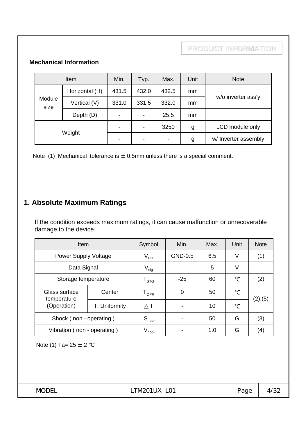#### **Mechanical Information**

| Item           |                | Min.                     | Typ.                     | Max.  | Unit          | <b>Note</b>          |
|----------------|----------------|--------------------------|--------------------------|-------|---------------|----------------------|
|                | Horizontal (H) | 431.5                    | 432.0                    | 432.5 | <sub>mm</sub> |                      |
| Module<br>size | Vertical (V)   | 331.0                    | 331.5                    | 332.0 | mm            | w/o inverter ass'y   |
|                | Depth (D)      | $\overline{\phantom{0}}$ | $\overline{\phantom{a}}$ | 25.5  | mm            |                      |
| Weight         |                | -                        | $\overline{\phantom{a}}$ | 3250  | g             | LCD module only      |
|                |                | ۰                        | ٠                        |       | g             | w/ Inverter assembly |

Note (1) Mechanical tolerance is  $\pm$  0.5mm unless there is a special comment.

## **1. Absolute Maximum Ratings**

If the condition exceeds maximum ratings, it can cause malfunction or unrecoverable damage to the device.

| <b>Item</b>                  | Symbol        | Min.                        | Max.    | Unit | <b>Note</b> |                   |
|------------------------------|---------------|-----------------------------|---------|------|-------------|-------------------|
| Power Supply Voltage         |               | $V_{DD}$                    | GND-0.5 | 6.5  | V           | (1)               |
| Data Signal                  |               | $V_{sig}$                   |         | 5    | V           |                   |
| Storage temperature          |               | $\mathsf{T}_{\texttt{STG}}$ | $-25$   | 60   |             | (2)               |
| Glass surface<br>temperature | Center        | $\mathsf{T}_{\mathsf{OPR}}$ | 0       | 50   |             | (2), (5)          |
| (Operation)                  | T. Uniformity |                             |         | 10   |             |                   |
| Shock (non - operating)      |               | $S_{\text{nop}}$            |         | 50   | G           | (3)               |
| Vibration (non - operating)  |               | $V_{\mathsf{nop}}$          |         | 1.0  | G           | $\left( 4\right)$ |

Note (1) Ta=  $25 \pm 2$  °C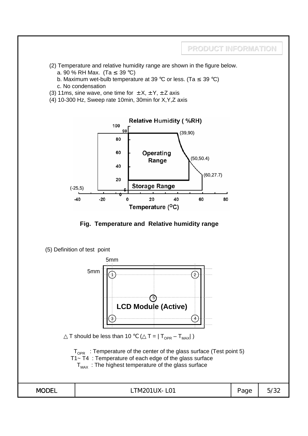

- (2) Temperature and relative humidity range are shown in the figure below.
	- a. 90 % RH Max. (Ta 39 °C)
	- b. Maximum wet-bulb temperature at 39 °C or less. (Ta 39 °C)
	- c. No condensation
- (3) 11ms, sine wave, one time for  $\pm X$ ,  $\pm Y$ ,  $\pm Z$  axis
- $(4)$  10-300 Hz, Sweep rate 10min, 30min for X, Y, Z axis





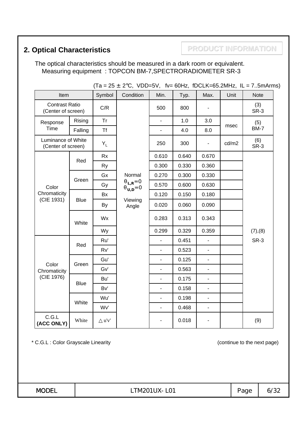## **2. Optical Characteristics <b>PRODUCT INFORMATION**

The optical characteristics should be measured in a dark room or equivalent. Measuring equipment : TOPCON BM-7,SPECTRORADIOMETER SR-3

| (1d = 20 ± 2 C, VDD=3V, TV= 60HZ, IDCLN=63.2MHZ, IL = 73MHHIIIS) |             |           |                           |                |       |                |       |             |
|------------------------------------------------------------------|-------------|-----------|---------------------------|----------------|-------|----------------|-------|-------------|
| Item                                                             |             | Symbol    | Condition                 | Min.           | Typ.  | Max.           | Unit  | <b>Note</b> |
| <b>Contrast Ratio</b><br>(Center of screen)                      |             | C/R       |                           | 500            | 800   |                |       | (3)<br>SR-3 |
| Response                                                         | Rising      | <b>Tr</b> |                           | $\overline{a}$ | 1.0   | 3.0            |       | (5)         |
| Time                                                             | Falling     | <b>Tf</b> |                           | $\overline{a}$ | 4.0   | 8.0            | msec  | <b>BM-7</b> |
| Luminance of White<br>(Center of screen)                         |             | $Y_L$     |                           | 250            | 300   | $\blacksquare$ | cd/m2 | (6)<br>SR-3 |
|                                                                  |             | <b>Rx</b> |                           | 0.610          | 0.640 | 0.670          |       |             |
|                                                                  | Red         | <b>Ry</b> |                           | 0.300          | 0.330 | 0.360          |       |             |
|                                                                  |             | Gx        | Normal                    | 0.270          | 0.300 | 0.330          |       |             |
| Color                                                            | Green       | Gy        | $L_{R} = 0$<br>$v_{,D}=0$ | 0.570          | 0.600 | 0.630          |       |             |
| Chromaticity                                                     | <b>Blue</b> | Bx        |                           | 0.120          | 0.150 | 0.180          |       |             |
| (CIE 1931)                                                       |             | By        | Viewing<br>Angle          | 0.020          | 0.060 | 0.090          |       |             |
|                                                                  | White       | Wx        |                           | 0.283          | 0.313 | 0.343          |       |             |
|                                                                  |             | Wy        |                           | 0.299          | 0.329 | 0.359          |       | (7), (8)    |
|                                                                  |             | Ru'       |                           |                | 0.451 |                |       | SR-3        |
|                                                                  | Red         | Rv'       |                           | ÷,             | 0.523 | $\blacksquare$ |       |             |
|                                                                  |             | Gu'       |                           | $\blacksquare$ | 0.125 | $\blacksquare$ |       |             |
| Color<br>Chromaticity                                            | Green       | Gv'       |                           | ÷,             | 0.563 | ÷.             |       |             |
| (CIE 1976)                                                       |             | Bu'       |                           | $\blacksquare$ | 0.175 | ÷.             |       |             |
|                                                                  | <b>Blue</b> | Bv'       |                           | $\blacksquare$ | 0.158 | ÷.             |       |             |
|                                                                  |             | Wu'       |                           | $\blacksquare$ | 0.198 | ä,             |       |             |
|                                                                  | White       | Wv'       |                           | ÷,             | 0.468 | ÷.             |       |             |
| C.G.L<br>(ACC ONLY)                                              | White       | u'v'      |                           |                | 0.018 |                |       | (9)         |

 $(75 + 2)$ °C, VDD-5V, fy-60Hz, fDCLK-65.2MHz, IL = 7.5mArms)

\* C.G.L : Color Grayscale Linearity (continue to the next page)

**MODEL** | LTM201UX-L01 | Page | 6/32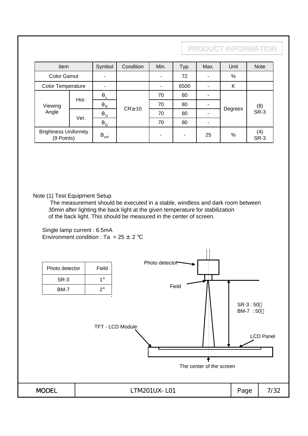| Item                                       |      | Symbol                      | Condition       | Min. | Typ. | Max. | Unit    | Note               |
|--------------------------------------------|------|-----------------------------|-----------------|------|------|------|---------|--------------------|
| <b>Color Gamut</b>                         |      |                             |                 | ٠    | 72   |      | $\%$    |                    |
| Color Temperature                          |      |                             |                 |      | 6500 |      | K       |                    |
|                                            | Hor. |                             | <b>CR</b><br>10 | 70   | 80   |      |         |                    |
| Viewing                                    |      | R                           |                 | 70   | 80   |      |         | (8)<br><b>SR-3</b> |
| Angle                                      |      | U                           |                 | 70   | 80   |      | Degrees |                    |
|                                            | Ver. | D                           |                 | 70   | 80   |      |         |                    |
| <b>Brightness Uniformity</b><br>(9 Points) |      | $\mathsf{B}_{\mathsf{uni}}$ |                 | ٠    | ٠    | 25   | %       | (4)<br><b>SR-3</b> |

#### Note (1) Test Equipment Setup

The measurement should be executed in a stable, windless and dark room between 30min after lighting the back light at the given temperature for stabilization of the back light. This should be measured in the center of screen.

Single lamp current : 6.5mA Environment condition : Ta =  $25 \pm 2$  °C

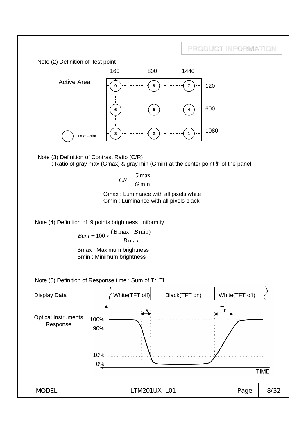



$$
CR = \frac{G \max}{G \min}
$$

Gmax : Luminance with all pixels white Gmin : Luminance with all pixels black

Note (4) Definition of 9 points brightness uniformity

$$
Buni = 100 \times \frac{(B \max - B \min)}{B \max}
$$

Bmax : Maximum brightness Bmin : Minimum brightness

Note (5) Definition of Response time : Sum of Tr, Tf

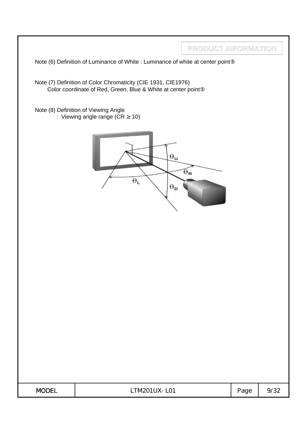|              | Note (6) Definition of Luminance of White : Luminance of white at center point                                                | PRODUCT INFORMATION   |      |      |
|--------------|-------------------------------------------------------------------------------------------------------------------------------|-----------------------|------|------|
|              | Note (7) Definition of Color Chromaticity (CIE 1931, CIE1976)<br>Color coordinate of Red, Green, Blue & White at center point |                       |      |      |
|              | Note (8) Definition of Viewing Angle<br>: Viewing angle range (CR<br>10)                                                      |                       |      |      |
|              | $\Theta_{\mathbf{u}}$<br>$\Theta_{\text{L}}$<br>$\boldsymbol{\theta}_\mathsf{D}$                                              | $\Theta_{\mathbf{R}}$ |      |      |
|              |                                                                                                                               |                       |      |      |
|              |                                                                                                                               |                       |      |      |
|              |                                                                                                                               |                       |      |      |
| <b>MODEL</b> | LTM201UX-L01                                                                                                                  |                       | Page | 9/32 |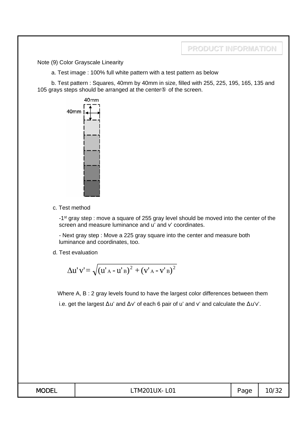Note (9) Color Grayscale Linearity

a. Test image : 100% full white pattern with a test pattern as below

b. Test pattern : Squares, 40mm by 40mm in size, filled with 255, 225, 195, 165, 135 and 105 grays steps should be arranged at the center of the screen.



c. Test method

-1st gray step : move a square of 255 gray level should be moved into the center of the screen and measure luminance and u' and v' coordinates.

- Next gray step : Move a 225 gray square into the center and measure both luminance and coordinates, too.

d. Test evaluation

$$
\Delta u' v' = \sqrt{(u'_{A} - u'_{B})^{2} + (v'_{A} - v'_{B})^{2}}
$$

Where A, B : 2 gray levels found to have the largest color differences between them i.e. get the largest u' and v' of each 6 pair of u' and v' and calculate the u'v'.

| <b>MODEL</b> | LTM201UX-L01 | Page<br>◡ | 0/32 |
|--------------|--------------|-----------|------|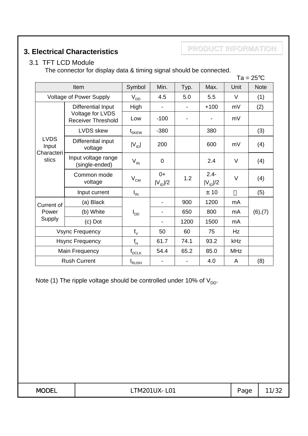### **3. Electrical Characteristics**

**PRODUCT INFORMATION**

#### 3.1 TFT LCD Module

The connector for display data & timing signal should be connected.

|                        |                                               |                           |                      |      |                         |            | $Ta = 25^{\circ}C$ |
|------------------------|-----------------------------------------------|---------------------------|----------------------|------|-------------------------|------------|--------------------|
|                        | Item                                          | Symbol                    | Min.                 | Typ. | Max.                    | Unit       | <b>Note</b>        |
|                        | <b>Voltage of Power Supply</b>                | $V_{DD}$                  | 4.5                  | 5.0  | 5.5                     | V          | (1)                |
|                        | Differential Input                            | High                      |                      |      | $+100$                  | mV         | (2)                |
|                        | Voltage for LVDS<br><b>Receiver Threshold</b> | Low                       | $-100$               |      |                         | mV         |                    |
|                        | <b>LVDS</b> skew                              | $\mathfrak{t}_{\rm SKEW}$ | $-380$               |      | 380                     |            | (3)                |
| <b>LVDS</b><br>Input   | Differential input<br>voltage                 | $ V_{ID} $                | 200                  |      | 600                     | mV         | (4)                |
| Characteri<br>stics    | Input voltage range<br>(single-ended)         | $V_{\text{IN}}$           | $\mathbf 0$          |      | 2.4                     | V          | (4)                |
|                        | Common mode<br>voltage                        | $\rm V_{\rm CM}$          | $0+$<br>$ V_{ID} /2$ | 1.2  | $2.4 -$<br>$ V_{ID} /2$ | V          | (4)                |
|                        | Input current                                 | $I_{IN}$                  |                      |      | ± 10                    |            | (5)                |
| Current of             | (a) Black                                     |                           |                      | 900  | 1200                    | mA         |                    |
| Power                  | (b) White                                     | l <sub>DD</sub>           |                      | 650  | 800                     | mA         | (6),(7)            |
| Supply                 | (c) Dot                                       |                           |                      | 1200 | 1500                    | mA         |                    |
| <b>Vsync Frequency</b> |                                               | $f_V$                     | 50                   | 60   | 75                      | Hz         |                    |
| <b>Hsync Frequency</b> |                                               | $f_H$                     | 61.7                 | 74.1 | 93.2                    | kHz        |                    |
|                        | Main Frequency                                | $f_{DCLK}$                | 54.4                 | 65.2 | 85.0                    | <b>MHz</b> |                    |
|                        | <b>Rush Current</b>                           | I <sub>RUSH</sub>         |                      |      | 4.0                     | A          | (8)                |

Note (1) The ripple voltage should be controlled under 10% of  $V_{DD}$ .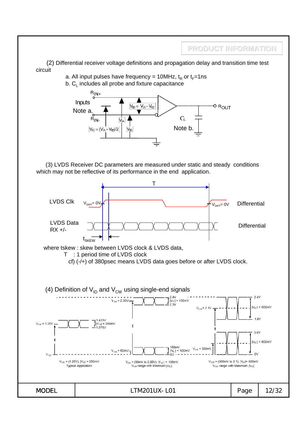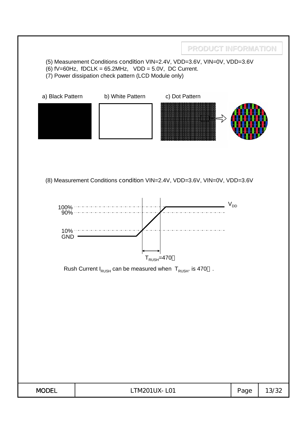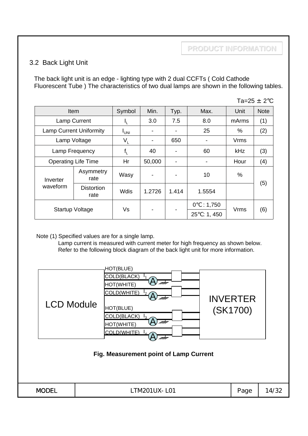#### 3.2 Back Light Unit

The back light unit is an edge - lighting type with 2 dual CCFTs ( Cold Cathode Fluorescent Tube ) The characteristics of two dual lamps are shown in the following tables.

|                 |                                |             |                          |                |                                 |            | Ta=25 $\pm$ 2°C |
|-----------------|--------------------------------|-------------|--------------------------|----------------|---------------------------------|------------|-----------------|
|                 | Item                           | Symbol      | Min.                     | Typ.           | Max.                            | Unit       | <b>Note</b>     |
|                 | <b>Lamp Current</b>            | η.          | 3.0                      | 7.5            | 8.0                             | mArms      | (1)             |
|                 | <b>Lamp Current Uniformity</b> | <b>IUNI</b> |                          | ۰              | 25                              | $\%$       | (2)             |
|                 | Lamp Voltage                   | $V_L$       | $\overline{\phantom{a}}$ | 650            |                                 | Vrms       |                 |
|                 | Lamp Frequency                 |             | 40                       |                | 60                              | <b>kHz</b> | (3)             |
|                 | <b>Operating Life Time</b>     | Hr          | 50,000                   | $\blacksquare$ |                                 | Hour       | (4)             |
| Inverter        | Asymmetry<br>rate              | Wasy        | $\overline{\phantom{a}}$ |                | 10                              | %          |                 |
| waveform        | <b>Distortion</b><br>rate      | Wdis        | 1.2726                   | 1.414          | 1.5554                          |            | (5)             |
| Startup Voltage |                                | Vs          |                          |                | 0<br>: $1,750$<br>25<br>: 1,450 | Vrms       | (6)             |

Note (1) Specified values are for a single lamp.

Lamp current is measured with current meter for high frequency as shown below. Refer to the following block diagram of the back light unit for more information.

| <b>LCD Module</b> | HOT(BLUE)<br>COLD(BLACK)<br>nm<br>HOT(WHITE)<br>COLD(WHITE)<br>nm<br>HOT(BLUE)<br>COLD(BLACK)<br>nm<br>HOT(WHITE)<br>COLD(WHITE)<br>Fig. Measurement point of Lamp Current | <b>INVERTER</b><br>(SK1700) |       |
|-------------------|----------------------------------------------------------------------------------------------------------------------------------------------------------------------------|-----------------------------|-------|
| <b>MODEL</b>      | LTM201UX-L01                                                                                                                                                               | Page                        | 14/32 |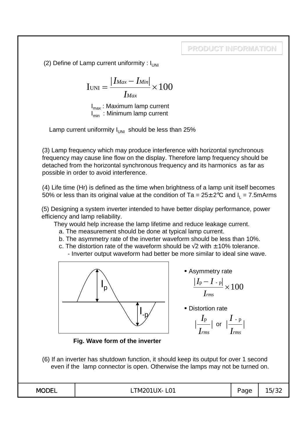(2) Define of Lamp current uniformity :  $I_{UNI}$ 

$$
I_{\text{UNI}} = \frac{|I_{\text{Max}} - I_{\text{Min}}|}{I_{\text{Max}}} \times 100
$$

 $I<sub>max</sub>$ : Maximum lamp current  $I_{min}$ : Minimum lamp current

Lamp current uniformity  $I_{UNI}$  should be less than 25%

(3) Lamp frequency which may produce interference with horizontal synchronous frequency may cause line flow on the display. Therefore lamp frequency should be detached from the horizontal synchronous frequency and its harmonics as far as possible in order to avoid interference.

(4) Life time (Hr) is defined as the time when brightness of a lamp unit itself becomes 50% or less than its original value at the condition of Ta =  $25 \pm 2^{\circ}$ C and I<sub>I</sub> = 7.5mArms

(5) Designing a system inverter intended to have better display performance, power efficiency and lamp reliability.

They would help increase the lamp lifetime and reduce leakage current.

- a. The measurement should be done at typical lamp current.
- b. The asymmetry rate of the inverter waveform should be less than 10%.
- c. The distortion rate of the waveform should be  $2$  with  $\pm$  10% tolerance. - Inverter output waveform had better be more similar to ideal sine wave.



**Asymmetry rate** 

$$
\frac{|I_{\rm p}-I_{\rm -p}|}{I_{\rm rms}}\times 100
$$

**Distortion rate** 

$$
\left|\frac{I_{\rm p}}{I_{\rm rms}}\right| \text{ or } \left|\frac{I_{\rm -p}}{I_{\rm rms}}\right|
$$

**Fig. Wave form of the inverter**

(6) If an inverter has shutdown function, it should keep its output for over 1 second even if the lamp connector is open. Otherwise the lamps may not be turned on.

| .<br>$\sim$<br>'Vk<br>w<br>. .<br>U I<br>-<br>______ | –<br>$\sim$<br>ت) ا<br>uч<br>. ت | - |
|------------------------------------------------------|----------------------------------|---|
|------------------------------------------------------|----------------------------------|---|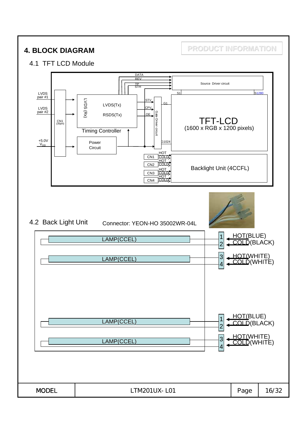**4. BLOCK DIAGRAM PRODUCT INFORMATION**

#### 4.1 TFT LCD Module

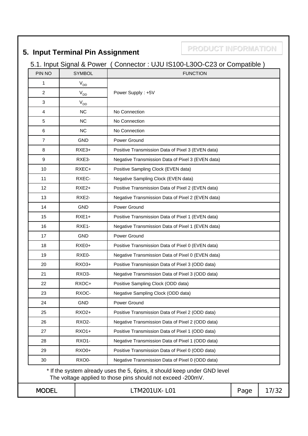## **5. Input Terminal Pin Assignment**

**PRODUCT INFORMATION**

## 5.1. Input Signal & Power ( Connector : UJU IS100-L30O-C23 or Compatible )

| PIN NO                                                          |  | <b>SYMBOL</b>      | <b>FUNCTION</b>                                                                                                                          |      |       |  |  |  |
|-----------------------------------------------------------------|--|--------------------|------------------------------------------------------------------------------------------------------------------------------------------|------|-------|--|--|--|
| 1                                                               |  | $V_{DD}$           |                                                                                                                                          |      |       |  |  |  |
| 2                                                               |  | $\rm V_{\rm DD}$   | Power Supply: +5V                                                                                                                        |      |       |  |  |  |
| 3                                                               |  | $V_{DD}$           |                                                                                                                                          |      |       |  |  |  |
| $\overline{4}$                                                  |  | <b>NC</b>          | No Connection                                                                                                                            |      |       |  |  |  |
| 5                                                               |  | <b>NC</b>          | No Connection                                                                                                                            |      |       |  |  |  |
| 6                                                               |  | <b>NC</b>          | No Connection                                                                                                                            |      |       |  |  |  |
| $\overline{7}$                                                  |  | <b>GND</b>         | Power Ground                                                                                                                             |      |       |  |  |  |
| 8                                                               |  | $RXE3+$            | Positive Transmission Data of Pixel 3 (EVEN data)                                                                                        |      |       |  |  |  |
| 9                                                               |  | RXE3-              | Negative Transmission Data of Pixel 3 (EVEN data)                                                                                        |      |       |  |  |  |
| 10                                                              |  | RXEC+              | Positive Sampling Clock (EVEN data)                                                                                                      |      |       |  |  |  |
| 11                                                              |  | RXEC-              | Negative Sampling Clock (EVEN data)                                                                                                      |      |       |  |  |  |
| 12                                                              |  | RXE <sub>2+</sub>  | Positive Transmission Data of Pixel 2 (EVEN data)                                                                                        |      |       |  |  |  |
| 13                                                              |  | RXE2-              | Negative Transmission Data of Pixel 2 (EVEN data)                                                                                        |      |       |  |  |  |
| 14                                                              |  | <b>GND</b>         | Power Ground                                                                                                                             |      |       |  |  |  |
| 15                                                              |  | $RXE1+$            | Positive Transmission Data of Pixel 1 (EVEN data)                                                                                        |      |       |  |  |  |
| 16                                                              |  | RXE1-              | Negative Transmission Data of Pixel 1 (EVEN data)                                                                                        |      |       |  |  |  |
| 17                                                              |  | <b>GND</b>         | Power Ground                                                                                                                             |      |       |  |  |  |
| 18                                                              |  | RXE0+              | Positive Transmission Data of Pixel 0 (EVEN data)                                                                                        |      |       |  |  |  |
| 19                                                              |  | RXE0-              | Negative Transmission Data of Pixel 0 (EVEN data)                                                                                        |      |       |  |  |  |
| 20                                                              |  | RXO3+              | Positive Transmission Data of Pixel 3 (ODD data)                                                                                         |      |       |  |  |  |
| 21                                                              |  | RXO <sub>3</sub> - | Negative Transmission Data of Pixel 3 (ODD data)                                                                                         |      |       |  |  |  |
| 22                                                              |  | RXOC+              | Positive Sampling Clock (ODD data)                                                                                                       |      |       |  |  |  |
| 23                                                              |  | RXOC-              | Negative Sampling Clock (ODD data)                                                                                                       |      |       |  |  |  |
| 24                                                              |  | <b>GND</b>         | Power Ground                                                                                                                             |      |       |  |  |  |
| 25                                                              |  | <b>RXO2+</b>       | Positive Transmission Data of Pixel 2 (ODD data)                                                                                         |      |       |  |  |  |
| 26                                                              |  | <b>RXO2-</b>       | Negative Transmission Data of Pixel 2 (ODD data)                                                                                         |      |       |  |  |  |
| 27                                                              |  | <b>RXO1+</b>       | Positive Transmission Data of Pixel 1 (ODD data)                                                                                         |      |       |  |  |  |
| 28                                                              |  | RXO1-              | Negative Transmission Data of Pixel 1 (ODD data)                                                                                         |      |       |  |  |  |
| 29                                                              |  | <b>RXO0+</b>       | Positive Transmission Data of Pixel 0 (ODD data)                                                                                         |      |       |  |  |  |
| RXO0-<br>Negative Transmission Data of Pixel 0 (ODD data)<br>30 |  |                    |                                                                                                                                          |      |       |  |  |  |
|                                                                 |  |                    | * If the system already uses the 5, 6pins, it should keep under GND level<br>The voltage applied to those pins should not exceed -200mV. |      |       |  |  |  |
| <b>MODEL</b>                                                    |  |                    | LTM201UX-L01                                                                                                                             | Page | 17/32 |  |  |  |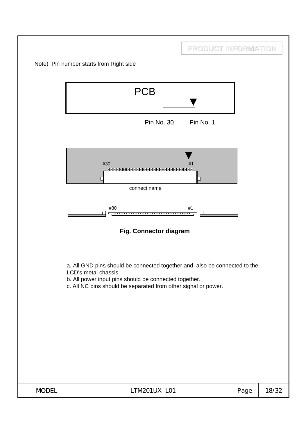|              |                                                                                                                                                                                                                              | PRODUCT INFORMATION |      |       |
|--------------|------------------------------------------------------------------------------------------------------------------------------------------------------------------------------------------------------------------------------|---------------------|------|-------|
|              | Note) Pin number starts from Right side                                                                                                                                                                                      |                     |      |       |
|              | <b>PCB</b><br>Pin No. 30                                                                                                                                                                                                     | Pin No. 1           |      |       |
|              | #30<br>888888888888888888888888888888<br>⊏<br>connect name<br>#30                                                                                                                                                            | #1<br>#1            |      |       |
|              | Fig. Connector diagram                                                                                                                                                                                                       |                     |      |       |
|              | a. All GND pins should be connected together and also be connected to the<br>LCD's metal chassis.<br>b. All power input pins should be connected together.<br>c. All NC pins should be separated from other signal or power. |                     |      |       |
| <b>MODEL</b> | LTM201UX-L01                                                                                                                                                                                                                 |                     | Page | 18/32 |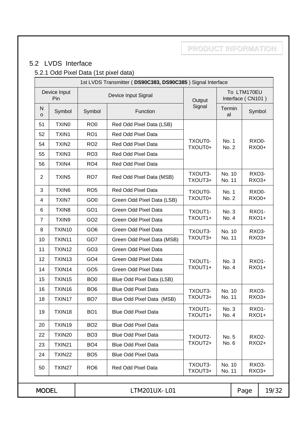## 5.2 LVDS Interface

## 5.2.1 Odd Pixel Data (1st pixel data)

|                                            |                   |                 | 1st LVDS Transmitter (DS90C383, DS90C385) Signal Interface |                    |                                  |                                    |              |
|--------------------------------------------|-------------------|-----------------|------------------------------------------------------------|--------------------|----------------------------------|------------------------------------|--------------|
| Device Input<br>Device Input Signal<br>Pin |                   |                 | Output                                                     |                    | To LTM170EU<br>Interface (CN101) |                                    |              |
| N<br>$\circ$                               | Symbol            | Symbol          | Function                                                   | Signal             | Termin<br>al                     | Symbol                             |              |
| 51                                         | TXIN <sub>0</sub> | RO <sub>0</sub> | Red Odd Pixel Data (LSB)                                   |                    |                                  |                                    |              |
| 52                                         | TXIN1             | RO <sub>1</sub> | Red Odd Pixel Data                                         |                    |                                  |                                    |              |
| 54                                         | TXIN <sub>2</sub> | RO <sub>2</sub> | Red Odd Pixel Data                                         | TXOUT0-<br>TXOUT0+ | No. 1<br>No. 2                   | RXO0-<br>RXO0+                     |              |
| 55                                         | TXIN3             | RO <sub>3</sub> | Red Odd Pixel Data                                         |                    |                                  |                                    |              |
| 56                                         | TXIN4             | RO <sub>4</sub> | Red Odd Pixel Data                                         |                    |                                  |                                    |              |
| $\overline{2}$                             | TXIN <sub>5</sub> | RO <sub>7</sub> | Red Odd Pixel Data (MSB)                                   | TXOUT3-<br>TXOUT3+ | No. 10<br>No. 11                 | RXO3-<br>RXO3+                     |              |
| 3                                          | TXIN6             | RO <sub>5</sub> | Red Odd Pixel Data                                         | TXOUT0-            | No. 1                            | RXO0-                              |              |
| 4                                          | TXIN7             | GO <sub>0</sub> | Green Odd Pixel Data (LSB)                                 | TXOUT0+            | No. 2                            |                                    | <b>RXO0+</b> |
| 6                                          | TXIN <sub>8</sub> | GO <sub>1</sub> | <b>Green Odd Pixel Data</b>                                | TXOUT1-            | No. 3                            | <b>RXO1-</b>                       |              |
| $\overline{7}$                             | TXIN9             | GO <sub>2</sub> | Green Odd Pixel Data                                       | TXOUT1+            | No. 4                            | <b>RXO1+</b>                       |              |
| 8                                          | TXIN10            | GO <sub>6</sub> | Green Odd Pixel Data                                       | TXOUT3-            | No. 10                           | RXO3-                              |              |
| 10                                         | TXIN11            | GO7             | Green Odd Pixel Data (MSB)                                 | TXOUT3+            | No. 11                           | RXO3+                              |              |
| 11                                         | TXIN12            | GO <sub>3</sub> | <b>Green Odd Pixel Data</b>                                |                    |                                  |                                    |              |
| 12                                         | TXIN13            | GO <sub>4</sub> | Green Odd Pixel Data                                       | TXOUT1-            | No. 3                            | <b>RXO1-</b>                       |              |
| 14                                         | TXIN14            | GO <sub>5</sub> | Green Odd Pixel Data                                       | TXOUT1+            | No. 4                            | <b>RXO1+</b>                       |              |
| 15                                         | TXIN15            | BO <sub>0</sub> | Blue Odd Pixel Data (LSB)                                  |                    |                                  |                                    |              |
| 16                                         | TXIN16            | BO <sub>6</sub> | <b>Blue Odd Pixel Data</b>                                 | TXOUT3-            | No. 10                           | RXO3-                              |              |
| 18                                         | TXIN17            | BO <sub>7</sub> | Blue Odd Pixel Data (MSB)                                  | TXOUT3+            | No. 11                           | RXO3+                              |              |
| 19                                         | TXIN18            | BO <sub>1</sub> | <b>Blue Odd Pixel Data</b>                                 | TXOUT1-<br>TXOUT1+ | No. 3<br>No. 4                   | RXO <sub>1</sub> -<br><b>RXO1+</b> |              |
| 20                                         | TXIN19            | BO <sub>2</sub> | <b>Blue Odd Pixel Data</b>                                 |                    |                                  |                                    |              |
| 22                                         | TXIN20            | BO <sub>3</sub> | <b>Blue Odd Pixel Data</b>                                 | TXOUT2-            | No. 5                            | <b>RXO2-</b>                       |              |
| 23                                         | TXIN21            | BO <sub>4</sub> | <b>Blue Odd Pixel Data</b>                                 | TXOUT2+            | No. 6                            | <b>RXO2+</b>                       |              |
| 24                                         | TXIN22            | BO <sub>5</sub> | <b>Blue Odd Pixel Data</b>                                 |                    |                                  |                                    |              |
| 50                                         | TXIN27            | RO <sub>6</sub> | Red Odd Pixel Data                                         | TXOUT3-<br>TXOUT3+ | No. 10<br>No. 11                 | RXO <sub>3</sub> -<br>RXO3+        |              |
| <b>MODEL</b>                               |                   |                 | LTM201UX-L01                                               |                    |                                  | Page                               | 19/32        |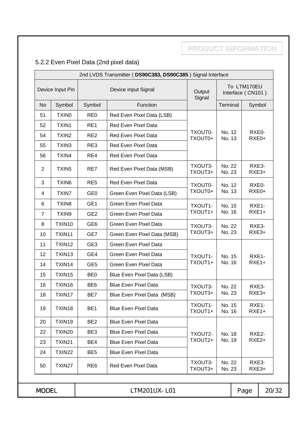## 5.2.2 Even Pixel Data (2nd pixel data)

| Device Input Pin<br>Device Input Signal<br>Output<br>Signal<br>Symbol<br>Function<br>Terminal<br><b>No</b><br>Symbol<br>51<br><b>TXINO</b><br>RE <sub>0</sub><br>Red Even Pixel Data (LSB)<br>TXIN1<br>RE1<br>Red Even Pixel Data<br>52<br>TXOUT0-<br>No. 12<br>54<br>TXIN <sub>2</sub><br>RE <sub>2</sub><br>Red Even Pixel Data<br>TXOUT0+<br>No. 13<br>TXIN3<br>RE3<br>Red Even Pixel Data<br>55<br>56<br>TXIN4<br>RE4<br>Red Even Pixel Data<br>No. 22<br>TXOUT3-<br>TXIN <sub>5</sub><br>RE7<br>$\overline{2}$<br>Red Even Pixel Data (MSB)<br>TXOUT3+<br>No. 23<br>TXIN6<br>RE <sub>5</sub><br>Red Even Pixel Data<br>3<br>No. 12<br>TXOUT0-<br>TXOUT0+<br>No. 13<br><b>TXIN7</b><br>GE <sub>0</sub><br>4<br>Green Even Pixel Data (LSB)<br>TXIN <sub>8</sub><br>GE <sub>1</sub><br>Green Even Pixel Data<br>6<br>TXOUT1-<br>No. 15<br>TXOUT1+<br>No. 16<br>GE <sub>2</sub><br>$\overline{7}$<br>TXIN9<br>Green Even Pixel Data<br>TXIN10<br>GE <sub>6</sub><br>8<br>Green Even Pixel Data<br>No. 22<br>TXOUT3-<br>TXOUT3+<br>No. 23<br>10<br>TXIN11<br>GE7<br>Green Even Pixel Data (MSB)<br>TXIN12<br>GE <sub>3</sub><br><b>Green Even Pixel Data</b><br>11<br>TXIN13<br>GE4<br>12<br>Green Even Pixel Data<br>TXOUT1-<br>No. 15<br>TXOUT1+<br>No. 16<br>TXIN14<br>GE <sub>5</sub><br>Green Even Pixel Data<br>14<br>TXIN15<br>BE <sub>0</sub><br>15<br>Blue Even Pixel Data (LSB)<br>TXIN16<br>BE <sub>6</sub><br><b>Blue Even Pixel Data</b><br>16<br>TXOUT3-<br>No. 22<br>TXOUT3+<br>No. 23<br>18<br>TXIN17<br>BE7<br>Blue Even Pixel Data (MSB)<br>TXOUT1-<br>No. 15<br>TXIN18<br>BE <sub>1</sub><br>19<br><b>Blue Even Pixel Data</b><br>TXOUT1+<br>No. 16<br>TXIN19<br>BE <sub>2</sub><br><b>Blue Even Pixel Data</b><br>20<br>BE3<br>22<br>TXIN20<br><b>Blue Even Pixel Data</b><br>TXOUT2-<br>No. 18<br>TXOUT2+<br>No. 19<br>TXIN21<br>BE4<br><b>Blue Even Pixel Data</b><br>23<br>TXIN22<br>BE <sub>5</sub><br><b>Blue Even Pixel Data</b><br>24<br>No. 22 |  |                 | 2nd LVDS Transmitter (DS90C383, DS90C385) Signal Interface |         |                                  |                |                             |         |
|-----------------------------------------------------------------------------------------------------------------------------------------------------------------------------------------------------------------------------------------------------------------------------------------------------------------------------------------------------------------------------------------------------------------------------------------------------------------------------------------------------------------------------------------------------------------------------------------------------------------------------------------------------------------------------------------------------------------------------------------------------------------------------------------------------------------------------------------------------------------------------------------------------------------------------------------------------------------------------------------------------------------------------------------------------------------------------------------------------------------------------------------------------------------------------------------------------------------------------------------------------------------------------------------------------------------------------------------------------------------------------------------------------------------------------------------------------------------------------------------------------------------------------------------------------------------------------------------------------------------------------------------------------------------------------------------------------------------------------------------------------------------------------------------------------------------------------------------------------------------------------------------------------------------------------------------------------------------------------|--|-----------------|------------------------------------------------------------|---------|----------------------------------|----------------|-----------------------------|---------|
|                                                                                                                                                                                                                                                                                                                                                                                                                                                                                                                                                                                                                                                                                                                                                                                                                                                                                                                                                                                                                                                                                                                                                                                                                                                                                                                                                                                                                                                                                                                                                                                                                                                                                                                                                                                                                                                                                                                                                                             |  |                 |                                                            |         | To LTM170EU<br>Interface (CN101) |                |                             |         |
|                                                                                                                                                                                                                                                                                                                                                                                                                                                                                                                                                                                                                                                                                                                                                                                                                                                                                                                                                                                                                                                                                                                                                                                                                                                                                                                                                                                                                                                                                                                                                                                                                                                                                                                                                                                                                                                                                                                                                                             |  |                 |                                                            |         |                                  |                | Symbol                      |         |
|                                                                                                                                                                                                                                                                                                                                                                                                                                                                                                                                                                                                                                                                                                                                                                                                                                                                                                                                                                                                                                                                                                                                                                                                                                                                                                                                                                                                                                                                                                                                                                                                                                                                                                                                                                                                                                                                                                                                                                             |  |                 |                                                            |         |                                  |                |                             |         |
|                                                                                                                                                                                                                                                                                                                                                                                                                                                                                                                                                                                                                                                                                                                                                                                                                                                                                                                                                                                                                                                                                                                                                                                                                                                                                                                                                                                                                                                                                                                                                                                                                                                                                                                                                                                                                                                                                                                                                                             |  |                 |                                                            |         |                                  |                |                             |         |
|                                                                                                                                                                                                                                                                                                                                                                                                                                                                                                                                                                                                                                                                                                                                                                                                                                                                                                                                                                                                                                                                                                                                                                                                                                                                                                                                                                                                                                                                                                                                                                                                                                                                                                                                                                                                                                                                                                                                                                             |  |                 |                                                            |         |                                  |                | RXE <sub>0</sub> -<br>RXE0+ |         |
|                                                                                                                                                                                                                                                                                                                                                                                                                                                                                                                                                                                                                                                                                                                                                                                                                                                                                                                                                                                                                                                                                                                                                                                                                                                                                                                                                                                                                                                                                                                                                                                                                                                                                                                                                                                                                                                                                                                                                                             |  |                 |                                                            |         |                                  |                |                             |         |
|                                                                                                                                                                                                                                                                                                                                                                                                                                                                                                                                                                                                                                                                                                                                                                                                                                                                                                                                                                                                                                                                                                                                                                                                                                                                                                                                                                                                                                                                                                                                                                                                                                                                                                                                                                                                                                                                                                                                                                             |  |                 |                                                            |         |                                  |                |                             |         |
|                                                                                                                                                                                                                                                                                                                                                                                                                                                                                                                                                                                                                                                                                                                                                                                                                                                                                                                                                                                                                                                                                                                                                                                                                                                                                                                                                                                                                                                                                                                                                                                                                                                                                                                                                                                                                                                                                                                                                                             |  |                 |                                                            |         |                                  |                | RXE3-<br>RXE3+              |         |
|                                                                                                                                                                                                                                                                                                                                                                                                                                                                                                                                                                                                                                                                                                                                                                                                                                                                                                                                                                                                                                                                                                                                                                                                                                                                                                                                                                                                                                                                                                                                                                                                                                                                                                                                                                                                                                                                                                                                                                             |  |                 |                                                            |         |                                  |                | RXE0-                       |         |
|                                                                                                                                                                                                                                                                                                                                                                                                                                                                                                                                                                                                                                                                                                                                                                                                                                                                                                                                                                                                                                                                                                                                                                                                                                                                                                                                                                                                                                                                                                                                                                                                                                                                                                                                                                                                                                                                                                                                                                             |  |                 |                                                            |         |                                  |                | RXE0+                       |         |
|                                                                                                                                                                                                                                                                                                                                                                                                                                                                                                                                                                                                                                                                                                                                                                                                                                                                                                                                                                                                                                                                                                                                                                                                                                                                                                                                                                                                                                                                                                                                                                                                                                                                                                                                                                                                                                                                                                                                                                             |  |                 |                                                            |         |                                  |                | RXE1-                       |         |
|                                                                                                                                                                                                                                                                                                                                                                                                                                                                                                                                                                                                                                                                                                                                                                                                                                                                                                                                                                                                                                                                                                                                                                                                                                                                                                                                                                                                                                                                                                                                                                                                                                                                                                                                                                                                                                                                                                                                                                             |  |                 |                                                            |         |                                  |                | $RXE1+$                     |         |
|                                                                                                                                                                                                                                                                                                                                                                                                                                                                                                                                                                                                                                                                                                                                                                                                                                                                                                                                                                                                                                                                                                                                                                                                                                                                                                                                                                                                                                                                                                                                                                                                                                                                                                                                                                                                                                                                                                                                                                             |  |                 |                                                            |         |                                  |                | RXE3-                       |         |
|                                                                                                                                                                                                                                                                                                                                                                                                                                                                                                                                                                                                                                                                                                                                                                                                                                                                                                                                                                                                                                                                                                                                                                                                                                                                                                                                                                                                                                                                                                                                                                                                                                                                                                                                                                                                                                                                                                                                                                             |  |                 |                                                            |         |                                  |                | RXE3+                       |         |
|                                                                                                                                                                                                                                                                                                                                                                                                                                                                                                                                                                                                                                                                                                                                                                                                                                                                                                                                                                                                                                                                                                                                                                                                                                                                                                                                                                                                                                                                                                                                                                                                                                                                                                                                                                                                                                                                                                                                                                             |  |                 |                                                            |         |                                  |                |                             |         |
|                                                                                                                                                                                                                                                                                                                                                                                                                                                                                                                                                                                                                                                                                                                                                                                                                                                                                                                                                                                                                                                                                                                                                                                                                                                                                                                                                                                                                                                                                                                                                                                                                                                                                                                                                                                                                                                                                                                                                                             |  |                 |                                                            |         |                                  |                | RXE1-                       |         |
|                                                                                                                                                                                                                                                                                                                                                                                                                                                                                                                                                                                                                                                                                                                                                                                                                                                                                                                                                                                                                                                                                                                                                                                                                                                                                                                                                                                                                                                                                                                                                                                                                                                                                                                                                                                                                                                                                                                                                                             |  |                 |                                                            |         |                                  |                |                             | $RXE1+$ |
|                                                                                                                                                                                                                                                                                                                                                                                                                                                                                                                                                                                                                                                                                                                                                                                                                                                                                                                                                                                                                                                                                                                                                                                                                                                                                                                                                                                                                                                                                                                                                                                                                                                                                                                                                                                                                                                                                                                                                                             |  |                 |                                                            |         |                                  |                |                             |         |
|                                                                                                                                                                                                                                                                                                                                                                                                                                                                                                                                                                                                                                                                                                                                                                                                                                                                                                                                                                                                                                                                                                                                                                                                                                                                                                                                                                                                                                                                                                                                                                                                                                                                                                                                                                                                                                                                                                                                                                             |  |                 |                                                            |         |                                  |                | RXE3-                       |         |
|                                                                                                                                                                                                                                                                                                                                                                                                                                                                                                                                                                                                                                                                                                                                                                                                                                                                                                                                                                                                                                                                                                                                                                                                                                                                                                                                                                                                                                                                                                                                                                                                                                                                                                                                                                                                                                                                                                                                                                             |  |                 |                                                            |         |                                  |                | RXE3+                       |         |
|                                                                                                                                                                                                                                                                                                                                                                                                                                                                                                                                                                                                                                                                                                                                                                                                                                                                                                                                                                                                                                                                                                                                                                                                                                                                                                                                                                                                                                                                                                                                                                                                                                                                                                                                                                                                                                                                                                                                                                             |  |                 |                                                            |         |                                  |                | RXE1-<br>RXE1+              |         |
|                                                                                                                                                                                                                                                                                                                                                                                                                                                                                                                                                                                                                                                                                                                                                                                                                                                                                                                                                                                                                                                                                                                                                                                                                                                                                                                                                                                                                                                                                                                                                                                                                                                                                                                                                                                                                                                                                                                                                                             |  |                 |                                                            |         |                                  |                |                             |         |
|                                                                                                                                                                                                                                                                                                                                                                                                                                                                                                                                                                                                                                                                                                                                                                                                                                                                                                                                                                                                                                                                                                                                                                                                                                                                                                                                                                                                                                                                                                                                                                                                                                                                                                                                                                                                                                                                                                                                                                             |  |                 |                                                            |         |                                  |                | RXE2-                       |         |
|                                                                                                                                                                                                                                                                                                                                                                                                                                                                                                                                                                                                                                                                                                                                                                                                                                                                                                                                                                                                                                                                                                                                                                                                                                                                                                                                                                                                                                                                                                                                                                                                                                                                                                                                                                                                                                                                                                                                                                             |  |                 |                                                            |         |                                  |                | RXE2+                       |         |
|                                                                                                                                                                                                                                                                                                                                                                                                                                                                                                                                                                                                                                                                                                                                                                                                                                                                                                                                                                                                                                                                                                                                                                                                                                                                                                                                                                                                                                                                                                                                                                                                                                                                                                                                                                                                                                                                                                                                                                             |  |                 |                                                            |         |                                  |                |                             |         |
| TXIN27<br>50<br>TXOUT3+<br>No. 23                                                                                                                                                                                                                                                                                                                                                                                                                                                                                                                                                                                                                                                                                                                                                                                                                                                                                                                                                                                                                                                                                                                                                                                                                                                                                                                                                                                                                                                                                                                                                                                                                                                                                                                                                                                                                                                                                                                                           |  | RE <sub>6</sub> | Red Even Pixel Data                                        | TXOUT3- |                                  | RXE3-<br>RXE3+ |                             |         |
| <b>MODEL</b><br>LTM201UX-L01                                                                                                                                                                                                                                                                                                                                                                                                                                                                                                                                                                                                                                                                                                                                                                                                                                                                                                                                                                                                                                                                                                                                                                                                                                                                                                                                                                                                                                                                                                                                                                                                                                                                                                                                                                                                                                                                                                                                                |  |                 |                                                            |         |                                  |                | Page                        | 20/32   |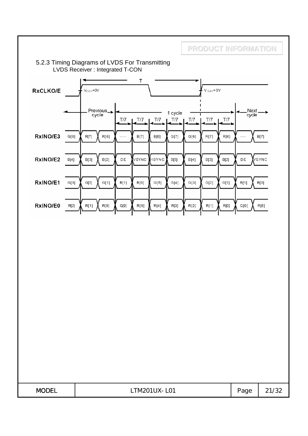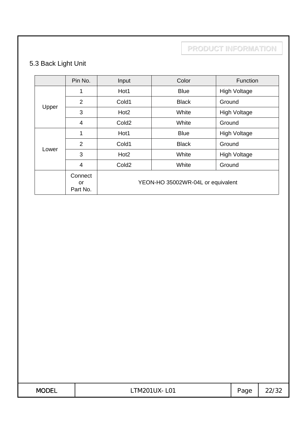## 5.3 Back Light Unit

|       | Pin No.                   | Input                             | Color        | Function            |  |
|-------|---------------------------|-----------------------------------|--------------|---------------------|--|
|       | 1                         | Hot1                              | <b>Blue</b>  | <b>High Voltage</b> |  |
|       | 2                         | Cold1                             | <b>Black</b> | Ground              |  |
| Upper | 3                         | Hot <sub>2</sub>                  | White        | <b>High Voltage</b> |  |
|       | 4                         | Cold <sub>2</sub>                 | White        | Ground              |  |
|       | 1                         | Hot1                              | <b>Blue</b>  | <b>High Voltage</b> |  |
|       | $\overline{2}$            | Cold1                             | <b>Black</b> | Ground              |  |
| Lower | 3                         | Hot <sub>2</sub>                  | White        | <b>High Voltage</b> |  |
|       | 4                         | Cold <sub>2</sub>                 | White        | Ground              |  |
|       | Connect<br>or<br>Part No. | YEON-HO 35002WR-04L or equivalent |              |                     |  |

| <b>MODEL</b><br>′ ∟ ∟ | $\sim$<br>M.<br>LUI | $\overline{\phantom{0}}$<br>'age<br>◡ | ັບ∠<br>--- |
|-----------------------|---------------------|---------------------------------------|------------|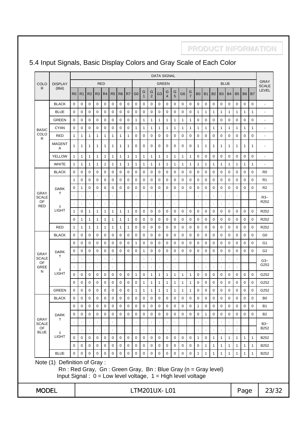#### 5.4 Input Signals, Basic Display Colors and Gray Scale of Each Color

**PRODUCT INFORMATION**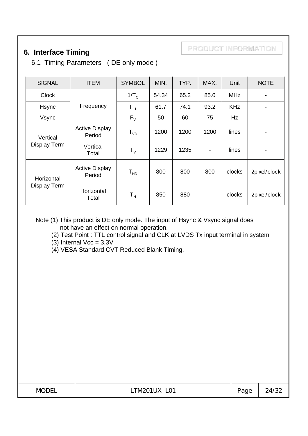## **6. Interface Timing**

6.1 Timing Parameters ( DE only mode )

| <b>SIGNAL</b> | <b>ITEM</b>                     | <b>SYMBOL</b>               | MIN.  | TYP. | MAX.           | Unit       | <b>NOTE</b>  |
|---------------|---------------------------------|-----------------------------|-------|------|----------------|------------|--------------|
| <b>Clock</b>  |                                 | $1/T_c$                     | 54.34 | 65.2 | 85.0           | <b>MHz</b> |              |
| Hsync         | Frequency                       | $F_{\rm H}$                 | 61.7  | 74.1 | 93.2           | <b>KHz</b> |              |
| Vsync         |                                 | $F_{V}$                     | 50    | 60   | 75             | Hz         | -            |
| Vertical      | <b>Active Display</b><br>Period | ${\sf T}_{{\sf v} {\sf D}}$ | 1200  | 1200 | 1200           | lines      |              |
| Display Term  | Vertical<br>Total               | ${\sf T}_{\sf v}$           | 1229  | 1235 | $\blacksquare$ | lines      | -            |
| Horizontal    | <b>Active Display</b><br>Period | ${\sf T}_{\sf HD}$          | 800   | 800  | 800            | clocks     | 2pixel/clock |
| Display Term  | Horizontal<br>Total             | $\mathsf{T}_{\mathsf{H}}$   | 850   | 880  |                | clocks     | 2pixel/clock |

Note (1) This product is DE only mode. The input of Hsync & Vsync signal does not have an effect on normal operation.

(2) Test Point : TTL control signal and CLK at LVDS Tx input terminal in system

(3) Internal  $Vec = 3.3V$ 

(4) VESA Standard CVT Reduced Blank Timing.

| MODE <sup>®</sup><br><b>TM201UX</b><br>$\sim$ $\sim$<br>LUI<br>′ ∟ ∟<br>- 1 | $\sim$<br>age | ∠ت |
|-----------------------------------------------------------------------------|---------------|----|
|-----------------------------------------------------------------------------|---------------|----|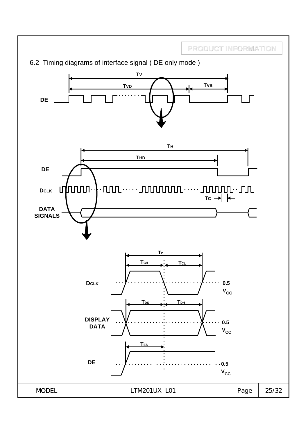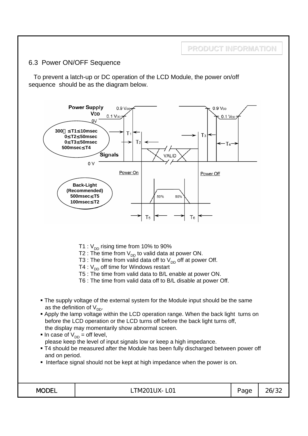#### 6.3 Power ON/OFF Sequence

To prevent a latch-up or DC operation of the LCD Module, the power on/off sequence should be as the diagram below.

**PRODUCT INFORMATION**

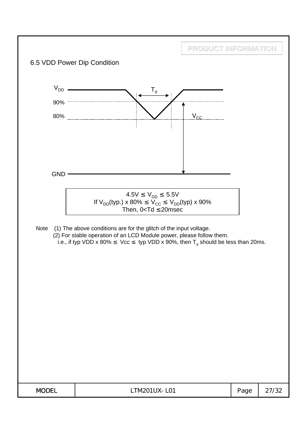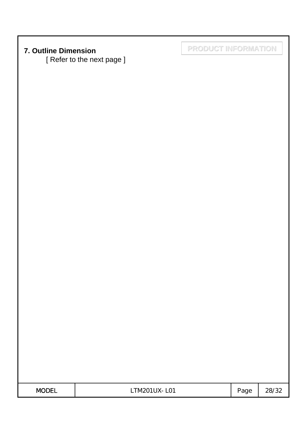[ Refer to the next page ]

**7. Outline Dimension PRODUCT INFORMATION**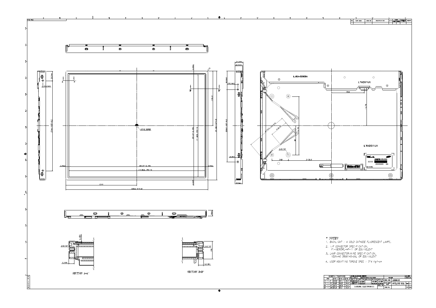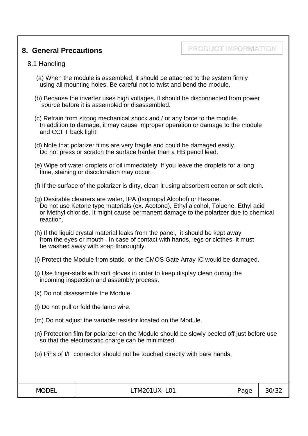#### **8. General Precautions**

## **PRODUCT INFORMATION**

#### 8.1 Handling

- (a) When the module is assembled, it should be attached to the system firmly using all mounting holes. Be careful not to twist and bend the module.
- (b) Because the inverter uses high voltages, it should be disconnected from power source before it is assembled or disassembled.
- (c) Refrain from strong mechanical shock and / or any force to the module. In addition to damage, it may cause improper operation or damage to the module and CCFT back light.
- (d) Note that polarizer films are very fragile and could be damaged easily. Do not press or scratch the surface harder than a HB pencil lead.
- (e) Wipe off water droplets or oil immediately. If you leave the droplets for a long time, staining or discoloration may occur.
- (f) If the surface of the polarizer is dirty, clean it using absorbent cotton or soft cloth.
- (g) Desirable cleaners are water, IPA (Isopropyl Alcohol) or Hexane. Do not use Ketone type materials (ex. Acetone), Ethyl alcohol, Toluene, Ethyl acid or Methyl chloride. It might cause permanent damage to the polarizer due to chemical reaction.
- (h) If the liquid crystal material leaks from the panel, it should be kept away from the eyes or mouth . In case of contact with hands, legs or clothes, it must be washed away with soap thoroughly.
- (i) Protect the Module from static, or the CMOS Gate Array IC would be damaged.
- (j) Use finger-stalls with soft gloves in order to keep display clean during the incoming inspection and assembly process.
- (k) Do not disassemble the Module.
- (l) Do not pull or fold the lamp wire.
- (m) Do not adjust the variable resistor located on the Module.
- (n) Protection film for polarizer on the Module should be slowly peeled off just before use so that the electrostatic charge can be minimized.
- (o) Pins of I/F connector should not be touched directly with bare hands.

| 200T<br>ו-נונ<br><b>NUL</b> | $\mathsf{I}\mathsf{V}$<br>L <sub>01</sub><br>-N/F<br>VI201<br>$\sim$ $\sim$<br>— <b>1</b> 1 v<br>ັ | aue<br>ີ | 30<br>_∠ט יי |
|-----------------------------|----------------------------------------------------------------------------------------------------|----------|--------------|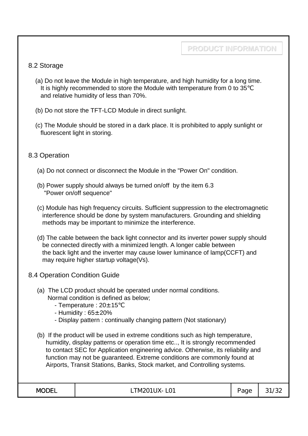#### 8.2 Storage

- (a) Do not leave the Module in high temperature, and high humidity for a long time. It is highly recommended to store the Module with temperature from 0 to 35 and relative humidity of less than 70%.
- (b) Do not store the TFT-LCD Module in direct sunlight.
- (c) The Module should be stored in a dark place. It is prohibited to apply sunlight or fluorescent light in storing.

#### 8.3 Operation

- (a) Do not connect or disconnect the Module in the "Power On" condition.
- (b) Power supply should always be turned on/off by the item 6.3 "Power on/off sequence"
- (c) Module has high frequency circuits. Sufficient suppression to the electromagnetic interference should be done by system manufacturers. Grounding and shielding methods may be important to minimize the interference.
- (d) The cable between the back light connector and its inverter power supply should be connected directly with a minimized length. A longer cable between the back light and the inverter may cause lower luminance of lamp(CCFT) and may require higher startup voltage(Vs).
- 8.4 Operation Condition Guide
	- (a) The LCD product should be operated under normal conditions. Normal condition is defined as below;
		- Temperature :  $20 \pm 15$
		- Humidity :  $65 \pm 20\%$
		- Display pattern : continually changing pattern (Not stationary)
	- (b) If the product will be used in extreme conditions such as high temperature, humidity, display patterns or operation time etc.., It is strongly recommended to contact SEC for Application engineering advice. Otherwise, its reliability and function may not be guaranteed. Extreme conditions are commonly found at Airports, Transit Stations, Banks, Stock market, and Controlling systems.

| 200T<br><b>MC</b><br>-- | $\overline{1}$<br>— <b>1</b><br>M20<br>- ∧∪ .<br>∟∪⊥<br>- 1 | $\overline{\phantom{a}}$<br>$\sim$<br>□<br>$\overline{\phantom{a}}$<br>uч | $\sim$<br>$\sim$<br>ັ |
|-------------------------|-------------------------------------------------------------|---------------------------------------------------------------------------|-----------------------|
|-------------------------|-------------------------------------------------------------|---------------------------------------------------------------------------|-----------------------|